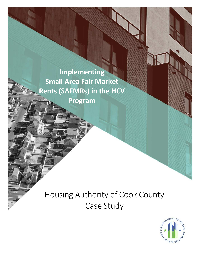**Implementing** ł **Small Area Fair Market** Ì **Rents (SAFMRs) in the HCV** 

**Program**

# Housing Authority of Cook County Case Study

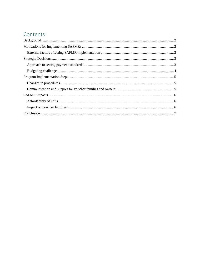# Contents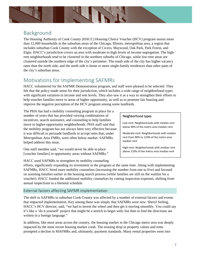

## Background

The Housing Authority of Cook County (HACC) Housing Choice Voucher (HCV) program assists more than 12,000 households in the suburban areas of the Chicago, Illinois, metropolitan area, a region that includes suburban Cook County with the exception of Cicero, Maywood, Oak Park, Park Forest, and Elgin. HACC's jurisdiction covers an area with moderate to high levels of income segregation. The highrent neighborhoods tend to be clustered in the northern suburbs of Chicago, while low-rent areas are clustered outside the southern edge of the city's perimeter. The south side of the city has higher vacancy rates than the north side, and the north side is home to more single-family residences than other parts of the city's suburban areas.

# Motivations for Implementing SAFMRs

HACC volunteered for the SAFMR Demonstration program, and staff were pleased to be selected. They felt that the policy made sense for their jurisdiction, which includes a wide range of neighborhood types with significant variation in income and rent levels. They also saw it as a way to strengthen their efforts to help voucher families move to areas of higher opportunity, as well as to promote fair housing and improve the negative perception of the HCV program among some landlords.

The PHA has had a mobility counseling program in place for a number of years that has provided varying combinations of incentives, search assistance, and counseling to help families move to higher-opportunity neighborhoods. PHA staff said that the mobility program has not always been very effective because it was difficult to persuade landlords to accept rents that, under Metropolitan Area FMRs, were often below market. SAFMRs helped address this issue.

One staff member said, "we would never be able to place [voucher families] in opportunity areas without SAFMRs."

HACC used SAFMRs to strengthen its mobility counseling

#### Neighborhood types

Low-rent: Neighborhoods with median rent below 90% of the metro area median rent

Moderate-rent: Neighborhoods with median rent from 90% to 110% of the metro area median rent

High-rent: Neighborhoods with median rent above 110% of the metro area median rent

efforts, significantly expanding its investment in the program at the same time. Along with implementing SAFMRs, HACC hired more mobility counselors (increasing the number from one to five) and focused on assisting families earlier in the housing search process (while families are still on the waitlist for a voucher). HACC funded the additional mobility counselors by cutting inspection expenses, shifting from annual inspections to a biennial schedule.

#### External factors affecting SAFMR implementation

The shift to SAFMRs in suburban Cook County was affected by a number of external factors and events that impacted implementation. Key among these was simply that SAFMRs were new. Sheryl Seiling, HACC's HCV director, said, "we had to invent the wheel and then get it moving smoothly. You could say it's like a 'do it yourself' project that might be a stretch to begin with, but then to find the directions are written in a foreign language."

In addition, like most areas across the country, the housing market in the Chicago metro area was deeply impacted by the most recent housing market crash. The ensuing drop in property values and rents prompted a decline in MAFMRs and, ultimately, payment standards. Many rental properties went into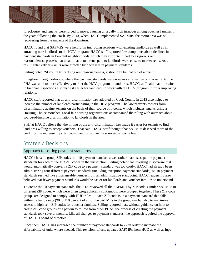

foreclosure, and tenants were forced to move, causing unusually high turnover among voucher families in the years following the crash. By 2013, when HACC implemented SAFMRs, the metro area was still recovering from the impacts of the downturn.

HACC found that SAFMRs were helpful in improving relations with existing landlords as well as in attracting new landlords to the HCV program. HACC staff reported few complaints about declines in payment standards in low-rent neighborhoods, which they attribute in part to a rigorous rent reasonableness process that meant that actual rents paid to landlords were close to market rents. As a result, relatively few units were affected by decreases in payment standards.

Seiling noted, "if you're truly doing rent reasonableness, it shouldn't be that big of a deal."

In high-rent neighborhoods, where the payment standards were now more reflective of market rents, the PHA was able to more effectively market the HCV program to landlords. HACC staff said that the switch to biennial inspections also made it easier for landlords to work with the HCV program, further improving relations.

HACC staff reported that an anti-discrimination law adopted by Cook County in 2013 also helped to increase the number of landlords participating in the HCV program. The law prevents owners from discriminating against tenants on the basis of their source of income, which includes tenants using a Housing Choice Voucher. Local fair housing organizations accompanied the ruling with outreach about source-of-income discrimination to landlords in the area.

Staff at HACC believe that the timing of the anti-discrimination law made it easier for tenants to find landlords willing to accept vouchers. That said, HACC staff thought that SAFMRs deserved more of the credit for the increase in participating landlords than the source-of-income law.

# Strategic Decisions

#### Approach to setting payment standards

HACC chose to group ZIP codes into 10 payment standard areas, rather than use separate payment standards for each of the 193 ZIP codes in the jurisdiction. Seiling noted that investing in software that would automatically convert a ZIP code to a payment standard was too costly. HACC had already been administering four different payment standards (including exception payment standards), so 10 payment standards seemed like a manageable number from an administrative standpoint. HACC leadership also believed that fewer payment standards would be easier for landlords and voucher families to understand.

To create the 10 payment standards, the PHA reviewed all the SAFMRs by ZIP code. Similar SAFMRs in different ZIP codes, which were often geographically contiguous, were grouped together. These ZIP code groups are designed to comply with HUD rules — each ZIP code is in a payment standard that falls within its basic range (90 to 110 percent of all of the SAFMRs in the group) — but also to maximize access to high-rent ZIP codes for voucher families. Seiling reported that, without guidance on how to create ZIP code groups or a pattern to follow from other PHAs, the process of creating the payment standards took several months. Like all changes to payment standards, the approach required the approval of HACC's board of directors.

Since then, HACC has increased the number of payment standards to 22 in order to increase the affordability of units where needed. This revision reflects updated SAFMRs from HUD as well as input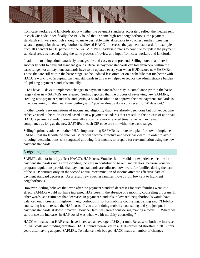

from case workers and landlords about whether the payment standards accurately reflect the median rent in each ZIP code. Specifically, the PHA found that in some high-rent neighborhoods, the payment standards still were not high enough to make desirable units affordable to voucher families. Creating separate groups for those neighborhoods allowed HACC to increase the payment standard, for example from 103 percent to 110 percent of the SAFMR. PHA leadership plans to continue to update the payment standard areas as needed, using the same process of review and input from case workers and landlords.

In addition to being administratively manageable and easy to comprehend, Seiling noted that there is another benefit to payment standard groups. Because payment standards can fall anywhere within the basic range, not all payment standards have to be updated every year when HUD issues new SAFMRs. Those that are still within the basic range can be updated less often, or on a schedule that fits better with HACC's workflow. Grouping payment standards in this way helped to reduce the administrative burden of updating payment standards annually.

PHAs have 90 days to implement changes to payment standards to stay in compliance (within the basic range) after new SAFMRs are released. Seiling reported that the process of reviewing new SAFMRs, creating new payment standards, and getting a board resolution to approve the new payment standards is time consuming. In the meantime, Seiling said, "you've already done your recert for 90 days out."

In other words, reexaminations of income and eligibility that have already been done but not yet become effective need to be re-processed based on new payment standards that are still in the process of approval. HACC's payment standard areas generally allow for a more relaxed timeframe, as they remain in compliance as long as the new SAFMRs in each ZIP code are still within the basic range.

Seiling's primary advice to other PHAs implementing SAFMRs is to create a plan for how to implement SAFMR that starts with the date SAFMRs will become effective and work backward. In order to avoid re-doing reexaminations, she suggested allowing four months to prepare for reexamination using the new payment standards.

#### Budgeting challenges

SAFMRs did not initially affect HACC's HAP costs. Voucher families did not experience declines in payment standards (and a corresponding increase in contribution to rent and utilities) because voucher program regulations provide that payment standards are adjusted downward for families during the term of the HAP contract only on the second annual reexamination of income after the effective date of payment standard decreases. As a result, few voucher families moved from low-rent to high-rent neighborhoods.

However, Seiling believes that even after the payment standard decreases for such families went into effect, SAFMRs would not have increased HAP costs in the absence of a mobility counseling program. In other words, she estimates that decreases in payment standards in low-rent neighborhoods would have balanced out increases in high-rent neighborhoods if not for mobility counseling. Seiling said, "Mobility counseling has increased the HAP costs. If you aren't doing mobility counseling and you just put in payment standards, it doesn't matter. [Voucher families] aren't considering making a move. … Where we start to see the increase [in HAP costs] was when we hit mobility counseling."

HACC estimates that HAP costs have increased an average of \$40 per unit. Because of both the increase in HAP costs and funding proration, HACC found themselves in a HUD-projected shortfall in 2016, four years after having adopted SAFMRs. To balance their budget, HACC made a number of changes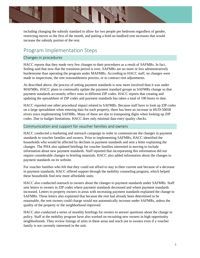

including changing the subsidy standard to allow for two people per bedroom regardless of gender, restricting moves to the first of the month, and putting a hold on landlord rent increases that would increase the subsidy portion of the rent.

# Program Implementation Steps

#### Changes in procedures

HACC reports that they made very few changes to their procedures as a result of SAFMRs. In fact, Seiling said that now that the transition period is over, SAFMRs are no more or less administratively burdensome than operating the program under MAFMRs. According to HACC staff, no changes were made to inspections, the rent reasonableness process, or to contract rent adjustments.

As described above, the process of setting payment standards is now more involved than it was under MAFMRs. HACC plans to continually update the payment standard groups as SAFMRs change so that payment standards accurately reflect rents in different ZIP codes. HACC reports that creating and updating the spreadsheet of ZIP codes and payment standards has taken a total of 100 hours to date.

HACC reported one other procedural impact related to SAFMRs. Because staff have to look up ZIP codes on a large spreadsheet when entering data for each property, there has been an increase in HUD-50058 errors since implementing SAFMRs. Many of these are due to transposing digits when looking up ZIP codes. Due to budget limitations, HACC does only minimal data entry quality checks.

#### Communication and support for voucher families and owners

HACC conducted a marketing and outreach campaign in order to communicate the changes in payment standards to voucher families and owners. Prior to implementing SAFMRs, HACC identified the households who would be affected by declines in payment standards and sent a letter explaining the changes. The PHA also updated briefings for voucher families interested in moving to include information about new payment standards. Staff reported that incorporating this information did not require considerable changes to briefing materials. HACC also added information about the changes to payment standards on its website.

For voucher families who felt that they could not afford to stay in their current unit because of a decrease in payment standards, HACC offered support through the mobility counseling program, which helped these households find new more affordable units.

HACC also conducted outreach to owners about the changes to payment standards under SAFMRs. Staff sent letters to owners in ZIP codes where payment standards decreased and where payment standards increased. Letters to property owners in areas with increasing payment standards explained the change to SAFMRs. These letters also explained that because the rent had already been determined to be reasonable, the rent owners could charge would not automatically increase under SAFMRs, unless the quality of the property or the neighborhood improved.

HACC also conducted a series of monthly briefings for owners to answer questions about the change in policy. Staff at the mobility program have also worked on recruiting new owners in high opportunity neighborhoods. They review listings of units in these areas and reach out to owners even if a voucher family is not currently interested in the unit.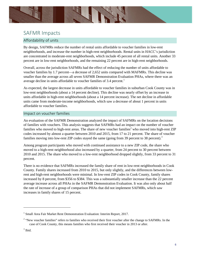

### SAFMR Impacts

#### Affordability of units

By design, SAFMRs reduce the number of rental units affordable to voucher families in low-rent neighborhoods, and increase the number in high-rent neighborhoods. Rental units in HACC's jurisdiction are concentrated in moderate-rent neighborhoods, which include 45 percent of all rental units. Another 33 percent are in low-rent neighborhoods, and the remaining 22 percent are in high-rent neighborhoods.

Overall, across the jurisdiction SAFMRs had the effect of reducing the number of units affordable to voucher families by 1.7 percent—a decrease of 2,652 units compared with MAFMRs. This decline was smaller than the average across all seven SAFMR Demonstration Evaluation PHAs, where there was an average decline in units affordable to voucher families of 3.4 percent.<sup>1</sup>

As expected, the largest decrease in units affordable to voucher families in suburban Cook County was in low-rent neighborhoods (about a 14 percent decline). This decline was nearly offset by an increase in units affordable in high-rent neighborhoods (about a 14 percent increase). The net decline in affordable units came from moderate-income neighborhoods, which saw a decrease of about 1 percent in units affordable to voucher families.

#### Impact on voucher families

An evaluation of the SAFMR Demonstration analyzed the impact of SAFMRs on the location decisions of families with vouchers. This analysis suggests that SAFMRs had an impact on the number of voucher families who moved to high-rent areas. The share of new voucher families<sup>2</sup> who moved into high-rent ZIP codes increased by almost a quarter between 2010 and 2015, from 17 to 21 percent. The share of voucher families moving into low-rent ZIP codes stayed the same (going from 39 percent to 38 percent).<sup>3</sup>

Among program participants who moved with continued assistance to a new ZIP code, the share who moved to a high-rent neighborhood also increased by a quarter, from 24 percent to 30 percent between 2010 and 2015. The share who moved to a low-rent neighborhood dropped slightly, from 33 percent to 31 percent.

There is no evidence that SAFMRs increased the family share of rent in low-rent neighborhoods in Cook County. Family shares increased from 2010 to 2015, but only slightly, and the differences between lowrent and high-rent neighborhoods were minimal. In low-rent ZIP codes in Cook County, family shares increased by 8 percent, from \$356 to \$384. This was a substantially smaller increase than the 22 percent average increase across all PHAs in the SAFMR Demonstration Evaluation. It was also only about half the rate of increase of a group of comparison PHAs that did not implement SAFMRs, which saw increases in family shares of 15 percent.

<sup>&</sup>lt;sup>1</sup> Small Area Fair Market Rent Demonstration Evaluation: Interim Report, 2017.

<sup>&</sup>lt;sup>2</sup> "New voucher families" refers to families who received their first voucher after the change to SAFMRs. In the case of Cook County, this means families who first received their voucher in 2013 or after.

 $3$  Ibid.